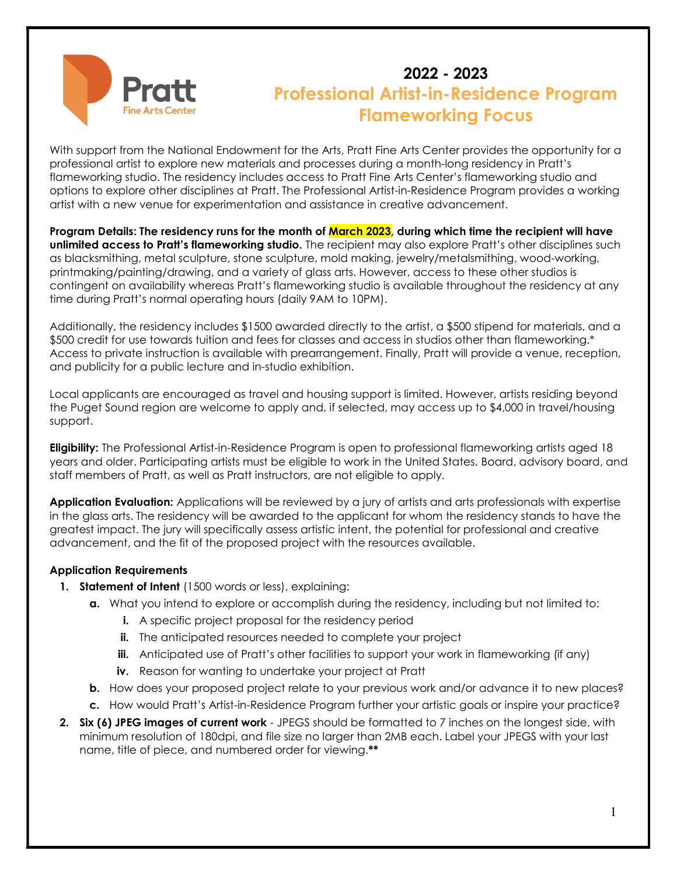

# 2022 - 2023 Professional Artist-in-Residence Program Flameworking Focus

With support from the National Endowment for the Arts, Pratt Fine Arts Center provides the opportunity for a professional artist to explore new materials and processes during a month-long residency in Pratt's flameworking studio. The residency includes access to Pratt Fine Arts Center's flameworking studio and options to explore other disciplines at Pratt. The Professional Artist-in-Residence Program provides a working artist with a new venue for experimentation and assistance in creative advancement.

Program Details: The residency runs for the month of March 2023, during which time the recipient will have unlimited access to Pratt's flameworking studio. The recipient may also explore Pratt's other disciplines such as blacksmithing, metal sculpture, stone sculpture, mold making, jewelry/metalsmithing, wood-working, printmaking/painting/drawing, and a variety of glass arts. However, access to these other studios is contingent on availability whereas Pratt's flameworking studio is available throughout the residency at any time during Pratt's normal operating hours (daily 9AM to 10PM).

Additionally, the residency includes \$1500 awarded directly to the artist, a \$500 stipend for materials, and a \$500 credit for use towards tuition and fees for classes and access in studios other than flameworking.\* Access to private instruction is available with prearrangement. Finally, Pratt will provide a venue, reception, and publicity for a public lecture and in-studio exhibition.

Local applicants are encouraged as travel and housing support is limited. However, artists residing beyond the Puget Sound region are welcome to apply and, if selected, may access up to \$4,000 in travel/housing support.

Eligibility: The Professional Artist-in-Residence Program is open to professional flameworking artists aged 18 years and older. Participating artists must be eligible to work in the United States. Board, advisory board, and staff members of Pratt, as well as Pratt instructors, are not eligible to apply.

Application Evaluation: Applications will be reviewed by a jury of artists and arts professionals with expertise in the glass arts. The residency will be awarded to the applicant for whom the residency stands to have the greatest impact. The jury will specifically assess artistic intent, the potential for professional and creative advancement, and the fit of the proposed project with the resources available.

#### Application Requirements

- 1. Statement of Intent (1500 words or less), explaining:
	- a. What you intend to explore or accomplish during the residency, including but not limited to:
		- **i.** A specific project proposal for the residency period
		- ii. The anticipated resources needed to complete your project
		- **iii.** Anticipated use of Pratt's other facilities to support your work in flameworking (if any)
		- iv. Reason for wanting to undertake your project at Pratt
	- b. How does your proposed project relate to your previous work and/or advance it to new places?
	- c. How would Pratt's Artist-in-Residence Program further your artistic goals or inspire your practice?
- 2. Six (6) JPEG images of current work JPEGS should be formatted to 7 inches on the longest side, with minimum resolution of 180dpi, and file size no larger than 2MB each. Label your JPEGS with your last name, title of piece, and numbered order for viewing.\*\*